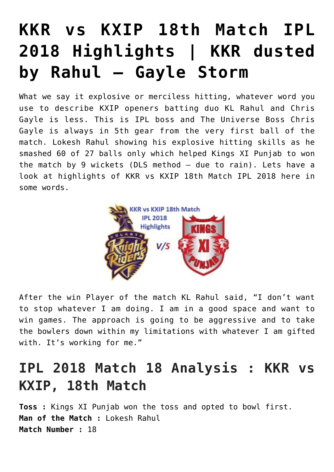## **[KKR vs KXIP 18th Match IPL](https://www.sportstakis.com/kkr-vs-kxip-18th-match-ipl-2018-highlights/) [2018 Highlights | KKR dusted](https://www.sportstakis.com/kkr-vs-kxip-18th-match-ipl-2018-highlights/) [by Rahul – Gayle Storm](https://www.sportstakis.com/kkr-vs-kxip-18th-match-ipl-2018-highlights/)**

What we say it explosive or merciless hitting, whatever word you use to describe KXIP openers batting duo KL Rahul and Chris Gayle is less. This is IPL boss and The Universe Boss Chris Gayle is always in 5th gear from the very first ball of the match. Lokesh Rahul showing his explosive hitting skills as he smashed 60 of 27 balls only which helped Kings XI Punjab to won the match by 9 wickets (DLS method – due to rain). Lets have a look at highlights of KKR vs KXIP 18th Match IPL 2018 here in some words.



After the win Player of the match KL Rahul said, "I don't want to stop whatever I am doing. I am in a good space and want to win games. The approach is going to be aggressive and to take the bowlers down within my limitations with whatever I am gifted with. It's working for me."

## **IPL 2018 Match 18 Analysis : KKR vs KXIP, 18th Match**

**Toss :** Kings XI Punjab won the toss and opted to bowl first. **Man of the Match :** Lokesh Rahul **Match Number :** 18